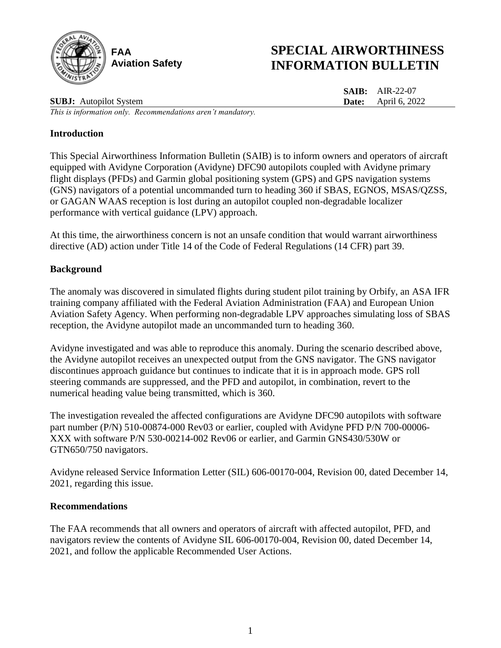

# **SPECIAL AIRWORTHINESS INFORMATION BULLETIN**

**SAIB:** AIR-22-07 **Date:** April 6, 2022

**SUBJ:** Autopilot System *This is information only. Recommendations aren't mandatory.*

### **Introduction**

This Special Airworthiness Information Bulletin (SAIB) is to inform owners and operators of aircraft equipped with Avidyne Corporation (Avidyne) DFC90 autopilots coupled with Avidyne primary flight displays (PFDs) and Garmin global positioning system (GPS) and GPS navigation systems (GNS) navigators of a potential uncommanded turn to heading 360 if SBAS, EGNOS, MSAS/QZSS, or GAGAN WAAS reception is lost during an autopilot coupled non-degradable localizer performance with vertical guidance (LPV) approach.

At this time, the airworthiness concern is not an unsafe condition that would warrant airworthiness directive (AD) action under Title 14 of the Code of Federal Regulations (14 CFR) part 39.

## **Background**

The anomaly was discovered in simulated flights during student pilot training by Orbify, an ASA IFR training company affiliated with the Federal Aviation Administration (FAA) and European Union Aviation Safety Agency. When performing non-degradable LPV approaches simulating loss of SBAS reception, the Avidyne autopilot made an uncommanded turn to heading 360.

Avidyne investigated and was able to reproduce this anomaly. During the scenario described above, the Avidyne autopilot receives an unexpected output from the GNS navigator. The GNS navigator discontinues approach guidance but continues to indicate that it is in approach mode. GPS roll steering commands are suppressed, and the PFD and autopilot, in combination, revert to the numerical heading value being transmitted, which is 360.

The investigation revealed the affected configurations are Avidyne DFC90 autopilots with software part number (P/N) 510-00874-000 Rev03 or earlier, coupled with Avidyne PFD P/N 700-00006-XXX with software P/N 530-00214-002 Rev06 or earlier, and Garmin GNS430/530W or GTN650/750 navigators.

Avidyne released Service Information Letter (SIL) 606-00170-004, Revision 00, dated December 14, 2021, regarding this issue.

#### **Recommendations**

The FAA recommends that all owners and operators of aircraft with affected autopilot, PFD, and navigators review the contents of Avidyne SIL 606-00170-004, Revision 00, dated December 14, 2021, and follow the applicable Recommended User Actions.